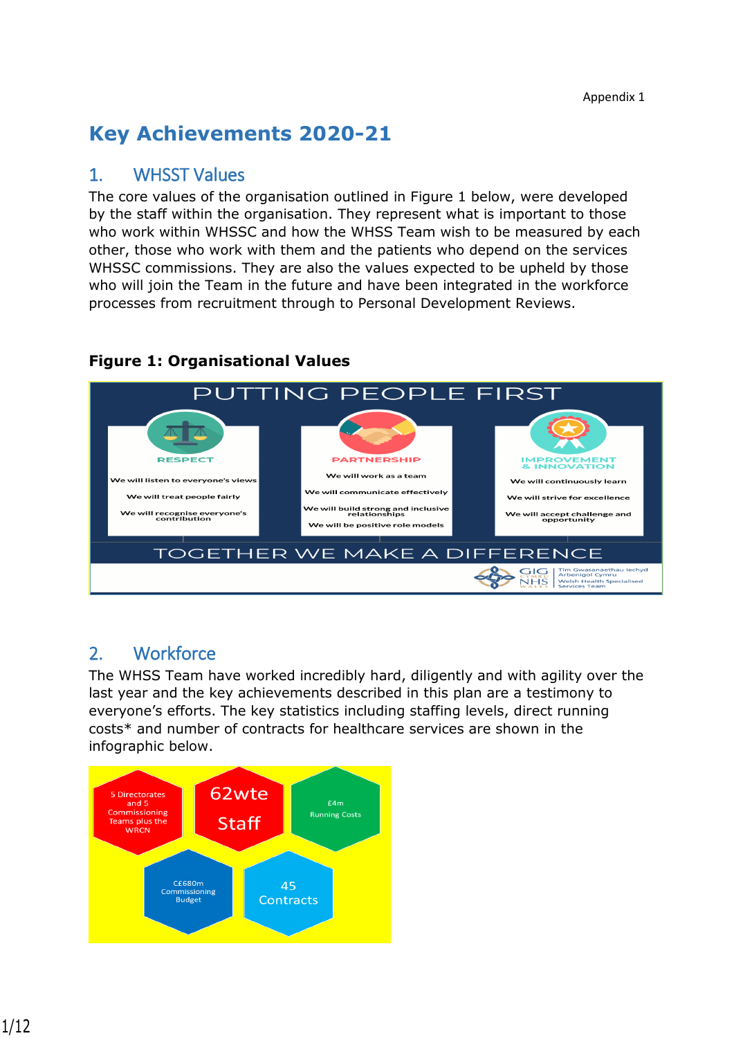# **Key Achievements 2020-21**

### 1. WHSST Values

The core values of the organisation outlined in Figure 1 below, were developed by the staff within the organisation. They represent what is important to those who work within WHSSC and how the WHSS Team wish to be measured by each other, those who work with them and the patients who depend on the services WHSSC commissions. They are also the values expected to be upheld by those who will join the Team in the future and have been integrated in the workforce processes from recruitment through to Personal Development Reviews.



#### **Figure 1: Organisational Values**

# 2. Workforce

The WHSS Team have worked incredibly hard, diligently and with agility over the last year and the key achievements described in this plan are a testimony to everyone's efforts. The key statistics including staffing levels, direct running costs\* and number of contracts for healthcare services are shown in the infographic below.

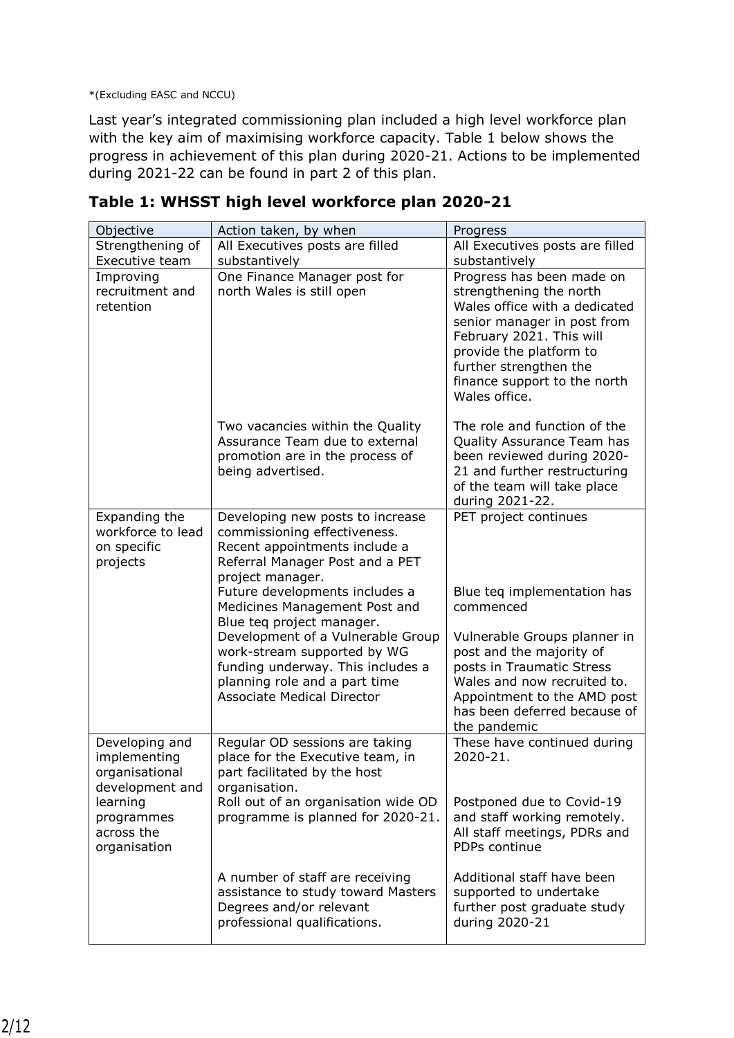\*(Excluding EASC and NCCU)

Last year's integrated commissioning plan included a high level workforce plan with the key aim of maximising workforce capacity. Table 1 below shows the progress in achievement of this plan during 2020-21. Actions to be implemented during 2021-22 can be found in part 2 of this plan.

| Objective                                                           | Action taken, by when                                                                                                                                                                                                                                                                                                                                             | Progress                                                                                                                                                                                                                                               |
|---------------------------------------------------------------------|-------------------------------------------------------------------------------------------------------------------------------------------------------------------------------------------------------------------------------------------------------------------------------------------------------------------------------------------------------------------|--------------------------------------------------------------------------------------------------------------------------------------------------------------------------------------------------------------------------------------------------------|
| Strengthening of                                                    | All Executives posts are filled                                                                                                                                                                                                                                                                                                                                   | All Executives posts are filled                                                                                                                                                                                                                        |
| Executive team                                                      | substantively                                                                                                                                                                                                                                                                                                                                                     | substantively                                                                                                                                                                                                                                          |
| Improving<br>recruitment and<br>retention                           | One Finance Manager post for<br>north Wales is still open                                                                                                                                                                                                                                                                                                         | Progress has been made on<br>strengthening the north<br>Wales office with a dedicated<br>senior manager in post from<br>February 2021. This will<br>provide the platform to<br>further strengthen the<br>finance support to the north<br>Wales office. |
|                                                                     | Two vacancies within the Quality<br>Assurance Team due to external<br>promotion are in the process of<br>being advertised.                                                                                                                                                                                                                                        | The role and function of the<br>Quality Assurance Team has<br>been reviewed during 2020-<br>21 and further restructuring<br>of the team will take place<br>during 2021-22.                                                                             |
| Expanding the<br>workforce to lead<br>on specific<br>projects       | Developing new posts to increase<br>commissioning effectiveness.<br>Recent appointments include a<br>Referral Manager Post and a PET<br>project manager.<br>Future developments includes a<br>Medicines Management Post and<br>Blue teq project manager.<br>Development of a Vulnerable Group<br>work-stream supported by WG<br>funding underway. This includes a | PET project continues<br>Blue teq implementation has<br>commenced<br>Vulnerable Groups planner in<br>post and the majority of<br>posts in Traumatic Stress                                                                                             |
|                                                                     | planning role and a part time<br><b>Associate Medical Director</b>                                                                                                                                                                                                                                                                                                | Wales and now recruited to.<br>Appointment to the AMD post<br>has been deferred because of<br>the pandemic                                                                                                                                             |
| Developing and<br>implementing<br>organisational<br>development and | Regular OD sessions are taking<br>place for the Executive team, in<br>part facilitated by the host<br>organisation.                                                                                                                                                                                                                                               | These have continued during<br>2020-21.                                                                                                                                                                                                                |
| learning<br>programmes<br>across the<br>organisation                | Roll out of an organisation wide OD<br>programme is planned for 2020-21.                                                                                                                                                                                                                                                                                          | Postponed due to Covid-19<br>and staff working remotely.<br>All staff meetings, PDRs and<br>PDPs continue                                                                                                                                              |
|                                                                     | A number of staff are receiving<br>assistance to study toward Masters<br>Degrees and/or relevant<br>professional qualifications.                                                                                                                                                                                                                                  | Additional staff have been<br>supported to undertake<br>further post graduate study<br>during 2020-21                                                                                                                                                  |

**Table 1: WHSST high level workforce plan 2020-21**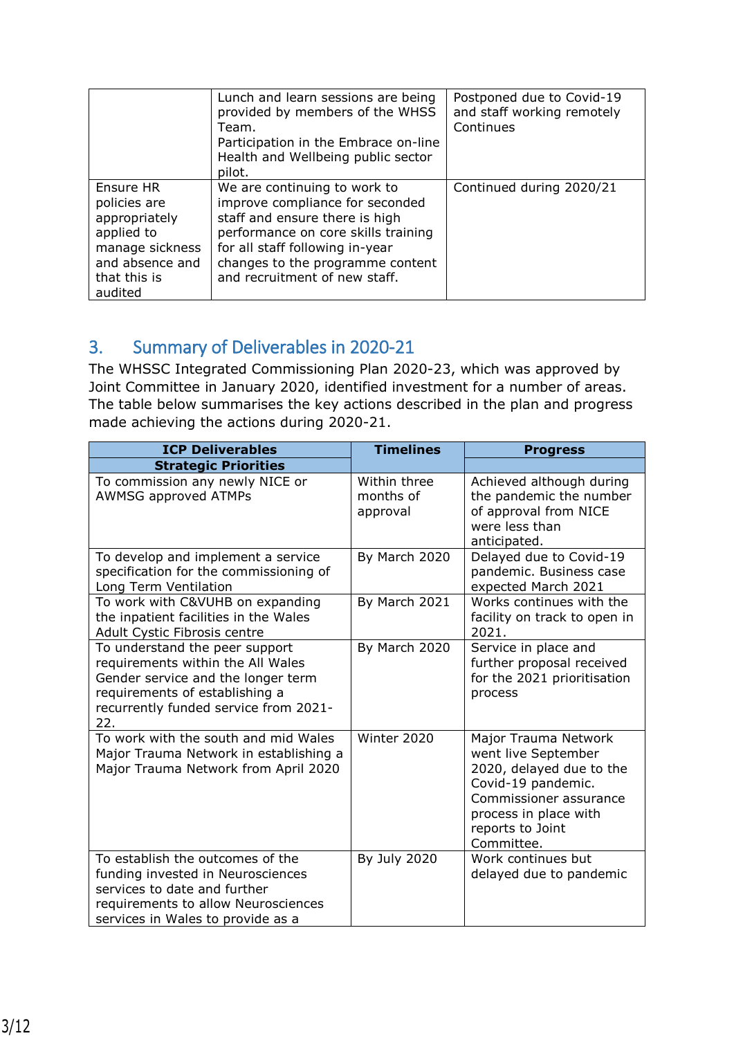|                                                                                                                           | Lunch and learn sessions are being<br>provided by members of the WHSS<br>Team.<br>Participation in the Embrace on-line<br>Health and Wellbeing public sector<br>pilot.                                                                           | Postponed due to Covid-19<br>and staff working remotely<br>Continues |
|---------------------------------------------------------------------------------------------------------------------------|--------------------------------------------------------------------------------------------------------------------------------------------------------------------------------------------------------------------------------------------------|----------------------------------------------------------------------|
| Ensure HR<br>policies are<br>appropriately<br>applied to<br>manage sickness<br>and absence and<br>that this is<br>audited | We are continuing to work to<br>improve compliance for seconded<br>staff and ensure there is high<br>performance on core skills training<br>for all staff following in-year<br>changes to the programme content<br>and recruitment of new staff. | Continued during 2020/21                                             |

# 3. Summary of Deliverables in 2020-21

The WHSSC Integrated Commissioning Plan 2020-23, which was approved by Joint Committee in January 2020, identified investment for a number of areas. The table below summarises the key actions described in the plan and progress made achieving the actions during 2020-21.

| <b>ICP Deliverables</b>                                                                                                                                                                     | <b>Timelines</b>                      | <b>Progress</b>                                                                                                                                                                    |  |  |
|---------------------------------------------------------------------------------------------------------------------------------------------------------------------------------------------|---------------------------------------|------------------------------------------------------------------------------------------------------------------------------------------------------------------------------------|--|--|
| <b>Strategic Priorities</b>                                                                                                                                                                 |                                       |                                                                                                                                                                                    |  |  |
| To commission any newly NICE or<br><b>AWMSG approved ATMPs</b>                                                                                                                              | Within three<br>months of<br>approval | Achieved although during<br>the pandemic the number<br>of approval from NICE<br>were less than<br>anticipated.                                                                     |  |  |
| To develop and implement a service<br>specification for the commissioning of<br>Long Term Ventilation                                                                                       | By March 2020                         | Delayed due to Covid-19<br>pandemic. Business case<br>expected March 2021                                                                                                          |  |  |
| To work with C&VUHB on expanding<br>the inpatient facilities in the Wales<br>Adult Cystic Fibrosis centre                                                                                   | By March 2021                         | Works continues with the<br>facility on track to open in<br>2021.                                                                                                                  |  |  |
| To understand the peer support<br>requirements within the All Wales<br>Gender service and the longer term<br>requirements of establishing a<br>recurrently funded service from 2021-<br>22. | By March 2020                         | Service in place and<br>further proposal received<br>for the 2021 prioritisation<br>process                                                                                        |  |  |
| To work with the south and mid Wales<br>Major Trauma Network in establishing a<br>Major Trauma Network from April 2020                                                                      | Winter 2020                           | Major Trauma Network<br>went live September<br>2020, delayed due to the<br>Covid-19 pandemic.<br>Commissioner assurance<br>process in place with<br>reports to Joint<br>Committee. |  |  |
| To establish the outcomes of the<br>funding invested in Neurosciences<br>services to date and further<br>requirements to allow Neurosciences<br>services in Wales to provide as a           | By July 2020                          | Work continues but<br>delayed due to pandemic                                                                                                                                      |  |  |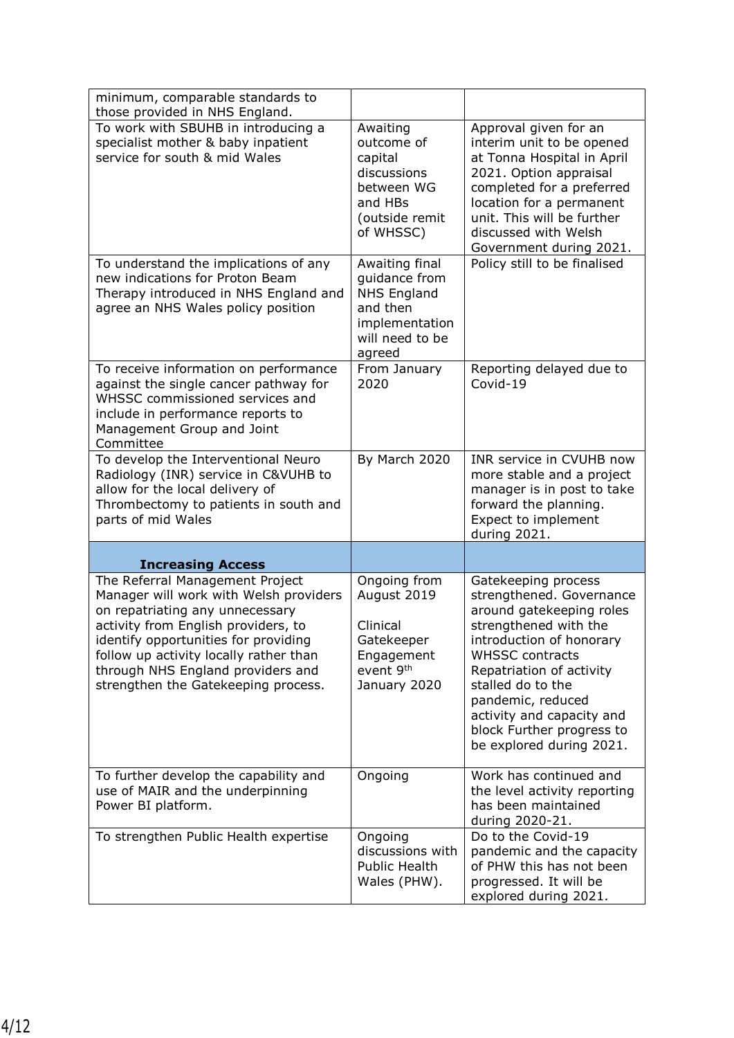| minimum, comparable standards to<br>those provided in NHS England.                                                                                                                                                                                                                                                |                                                                                                                  |                                                                                                                                                                                                                                                                                                                        |
|-------------------------------------------------------------------------------------------------------------------------------------------------------------------------------------------------------------------------------------------------------------------------------------------------------------------|------------------------------------------------------------------------------------------------------------------|------------------------------------------------------------------------------------------------------------------------------------------------------------------------------------------------------------------------------------------------------------------------------------------------------------------------|
| To work with SBUHB in introducing a<br>specialist mother & baby inpatient<br>service for south & mid Wales                                                                                                                                                                                                        | Awaiting<br>outcome of<br>capital<br>discussions<br>between WG<br>and HBs<br>(outside remit<br>of WHSSC)         | Approval given for an<br>interim unit to be opened<br>at Tonna Hospital in April<br>2021. Option appraisal<br>completed for a preferred<br>location for a permanent<br>unit. This will be further<br>discussed with Welsh<br>Government during 2021.                                                                   |
| To understand the implications of any<br>new indications for Proton Beam<br>Therapy introduced in NHS England and<br>agree an NHS Wales policy position                                                                                                                                                           | Awaiting final<br>guidance from<br><b>NHS England</b><br>and then<br>implementation<br>will need to be<br>agreed | Policy still to be finalised                                                                                                                                                                                                                                                                                           |
| To receive information on performance<br>against the single cancer pathway for<br>WHSSC commissioned services and<br>include in performance reports to<br>Management Group and Joint<br>Committee                                                                                                                 | From January<br>2020                                                                                             | Reporting delayed due to<br>Covid-19                                                                                                                                                                                                                                                                                   |
| To develop the Interventional Neuro<br>Radiology (INR) service in C&VUHB to<br>allow for the local delivery of<br>Thrombectomy to patients in south and<br>parts of mid Wales                                                                                                                                     | By March 2020                                                                                                    | INR service in CVUHB now<br>more stable and a project<br>manager is in post to take<br>forward the planning.<br>Expect to implement<br>during 2021.                                                                                                                                                                    |
| <b>Increasing Access</b>                                                                                                                                                                                                                                                                                          |                                                                                                                  |                                                                                                                                                                                                                                                                                                                        |
| The Referral Management Project<br>Manager will work with Welsh providers<br>on repatriating any unnecessary<br>activity from English providers, to<br>identify opportunities for providing<br>follow up activity locally rather than<br>through NHS England providers and<br>strengthen the Gatekeeping process. | Ongoing from<br>August 2019<br>Clinical<br>Gatekeeper<br>Engagement<br>event 9th<br>January 2020                 | Gatekeeping process<br>strengthened. Governance<br>around gatekeeping roles<br>strengthened with the<br>introduction of honorary<br><b>WHSSC contracts</b><br>Repatriation of activity<br>stalled do to the<br>pandemic, reduced<br>activity and capacity and<br>block Further progress to<br>be explored during 2021. |
| To further develop the capability and<br>use of MAIR and the underpinning<br>Power BI platform.                                                                                                                                                                                                                   | Ongoing                                                                                                          | Work has continued and<br>the level activity reporting<br>has been maintained<br>during 2020-21.                                                                                                                                                                                                                       |
| To strengthen Public Health expertise                                                                                                                                                                                                                                                                             | Ongoing<br>discussions with<br>Public Health<br>Wales (PHW).                                                     | Do to the Covid-19<br>pandemic and the capacity<br>of PHW this has not been<br>progressed. It will be<br>explored during 2021.                                                                                                                                                                                         |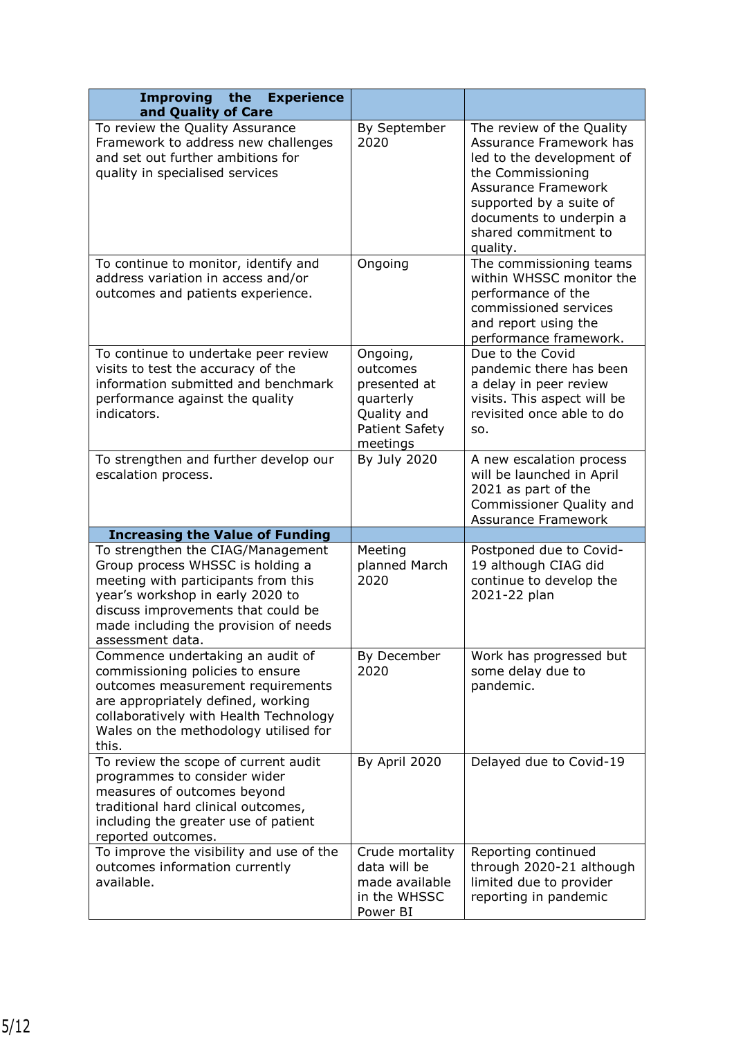| <b>Improving</b><br>the<br><b>Experience</b><br>and Quality of Care                                                                                                                                                                                 |                                                                                                       |                                                                                                                                                                                                                                |
|-----------------------------------------------------------------------------------------------------------------------------------------------------------------------------------------------------------------------------------------------------|-------------------------------------------------------------------------------------------------------|--------------------------------------------------------------------------------------------------------------------------------------------------------------------------------------------------------------------------------|
| To review the Quality Assurance<br>Framework to address new challenges<br>and set out further ambitions for<br>quality in specialised services                                                                                                      | By September<br>2020                                                                                  | The review of the Quality<br>Assurance Framework has<br>led to the development of<br>the Commissioning<br><b>Assurance Framework</b><br>supported by a suite of<br>documents to underpin a<br>shared commitment to<br>quality. |
| To continue to monitor, identify and<br>address variation in access and/or<br>outcomes and patients experience.                                                                                                                                     | Ongoing                                                                                               | The commissioning teams<br>within WHSSC monitor the<br>performance of the<br>commissioned services<br>and report using the<br>performance framework.                                                                           |
| To continue to undertake peer review<br>visits to test the accuracy of the<br>information submitted and benchmark<br>performance against the quality<br>indicators.                                                                                 | Ongoing,<br>outcomes<br>presented at<br>quarterly<br>Quality and<br><b>Patient Safety</b><br>meetings | Due to the Covid<br>pandemic there has been<br>a delay in peer review<br>visits. This aspect will be<br>revisited once able to do<br>SO.                                                                                       |
| To strengthen and further develop our<br>escalation process.                                                                                                                                                                                        | By July 2020                                                                                          | A new escalation process<br>will be launched in April<br>2021 as part of the<br>Commissioner Quality and<br><b>Assurance Framework</b>                                                                                         |
| <b>Increasing the Value of Funding</b>                                                                                                                                                                                                              |                                                                                                       |                                                                                                                                                                                                                                |
| To strengthen the CIAG/Management<br>Group process WHSSC is holding a<br>meeting with participants from this<br>year's workshop in early 2020 to<br>discuss improvements that could be<br>made including the provision of needs<br>assessment data. | Meeting<br>planned March<br>2020                                                                      | Postponed due to Covid-<br>19 although CIAG did<br>continue to develop the<br>2021-22 plan                                                                                                                                     |
| Commence undertaking an audit of<br>commissioning policies to ensure<br>outcomes measurement requirements<br>are appropriately defined, working<br>collaboratively with Health Technology<br>Wales on the methodology utilised for<br>this.         | By December<br>2020                                                                                   | Work has progressed but<br>some delay due to<br>pandemic.                                                                                                                                                                      |
| To review the scope of current audit<br>programmes to consider wider<br>measures of outcomes beyond<br>traditional hard clinical outcomes,<br>including the greater use of patient<br>reported outcomes.                                            | By April 2020                                                                                         | Delayed due to Covid-19                                                                                                                                                                                                        |
| To improve the visibility and use of the<br>outcomes information currently<br>available.                                                                                                                                                            | Crude mortality<br>data will be<br>made available<br>in the WHSSC<br>Power BI                         | Reporting continued<br>through 2020-21 although<br>limited due to provider<br>reporting in pandemic                                                                                                                            |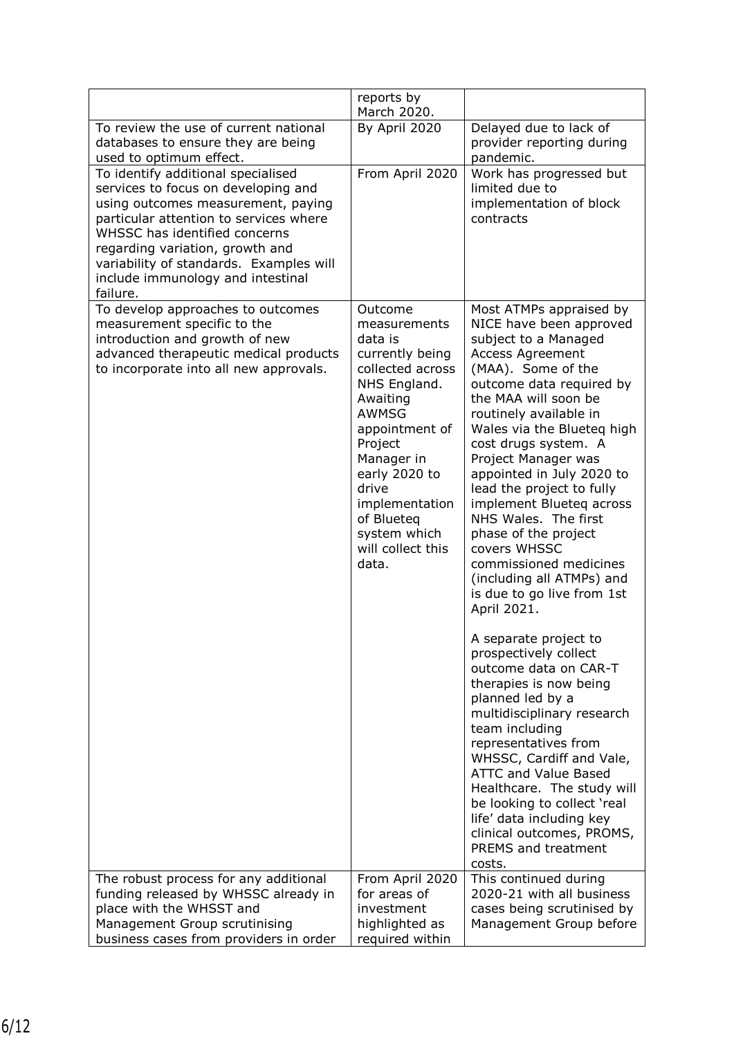|                                                                                                                                                                                                                                                                                                                           | reports by<br>March 2020.                                                                                                                                                                                                                                                |                                                                                                                                                                                                                                                                                                                                                                                                                                                                                                                                                                                                                                                                                                                                                                                                              |
|---------------------------------------------------------------------------------------------------------------------------------------------------------------------------------------------------------------------------------------------------------------------------------------------------------------------------|--------------------------------------------------------------------------------------------------------------------------------------------------------------------------------------------------------------------------------------------------------------------------|--------------------------------------------------------------------------------------------------------------------------------------------------------------------------------------------------------------------------------------------------------------------------------------------------------------------------------------------------------------------------------------------------------------------------------------------------------------------------------------------------------------------------------------------------------------------------------------------------------------------------------------------------------------------------------------------------------------------------------------------------------------------------------------------------------------|
| To review the use of current national<br>databases to ensure they are being<br>used to optimum effect.                                                                                                                                                                                                                    | By April 2020                                                                                                                                                                                                                                                            | Delayed due to lack of<br>provider reporting during<br>pandemic.                                                                                                                                                                                                                                                                                                                                                                                                                                                                                                                                                                                                                                                                                                                                             |
| To identify additional specialised<br>services to focus on developing and<br>using outcomes measurement, paying<br>particular attention to services where<br>WHSSC has identified concerns<br>regarding variation, growth and<br>variability of standards. Examples will<br>include immunology and intestinal<br>failure. | From April 2020                                                                                                                                                                                                                                                          | Work has progressed but<br>limited due to<br>implementation of block<br>contracts                                                                                                                                                                                                                                                                                                                                                                                                                                                                                                                                                                                                                                                                                                                            |
| To develop approaches to outcomes<br>measurement specific to the<br>introduction and growth of new<br>advanced therapeutic medical products<br>to incorporate into all new approvals.                                                                                                                                     | Outcome<br>measurements<br>data is<br>currently being<br>collected across<br>NHS England.<br>Awaiting<br><b>AWMSG</b><br>appointment of<br>Project<br>Manager in<br>early 2020 to<br>drive<br>implementation<br>of Blueteq<br>system which<br>will collect this<br>data. | Most ATMPs appraised by<br>NICE have been approved<br>subject to a Managed<br><b>Access Agreement</b><br>(MAA). Some of the<br>outcome data required by<br>the MAA will soon be<br>routinely available in<br>Wales via the Blueteg high<br>cost drugs system. A<br>Project Manager was<br>appointed in July 2020 to<br>lead the project to fully<br>implement Blueteg across<br>NHS Wales. The first<br>phase of the project<br>covers WHSSC<br>commissioned medicines<br>(including all ATMPs) and<br>is due to go live from 1st<br>April 2021.<br>A separate project to<br>prospectively collect<br>outcome data on CAR-T<br>therapies is now being<br>planned led by a<br>multidisciplinary research<br>team including<br>representatives from<br>WHSSC, Cardiff and Vale,<br><b>ATTC and Value Based</b> |
|                                                                                                                                                                                                                                                                                                                           |                                                                                                                                                                                                                                                                          | Healthcare. The study will<br>be looking to collect 'real<br>life' data including key<br>clinical outcomes, PROMS,<br>PREMS and treatment<br>costs.                                                                                                                                                                                                                                                                                                                                                                                                                                                                                                                                                                                                                                                          |
| The robust process for any additional<br>funding released by WHSSC already in<br>place with the WHSST and<br>Management Group scrutinising<br>business cases from providers in order                                                                                                                                      | From April 2020<br>for areas of<br>investment<br>highlighted as<br>required within                                                                                                                                                                                       | This continued during<br>2020-21 with all business<br>cases being scrutinised by<br>Management Group before                                                                                                                                                                                                                                                                                                                                                                                                                                                                                                                                                                                                                                                                                                  |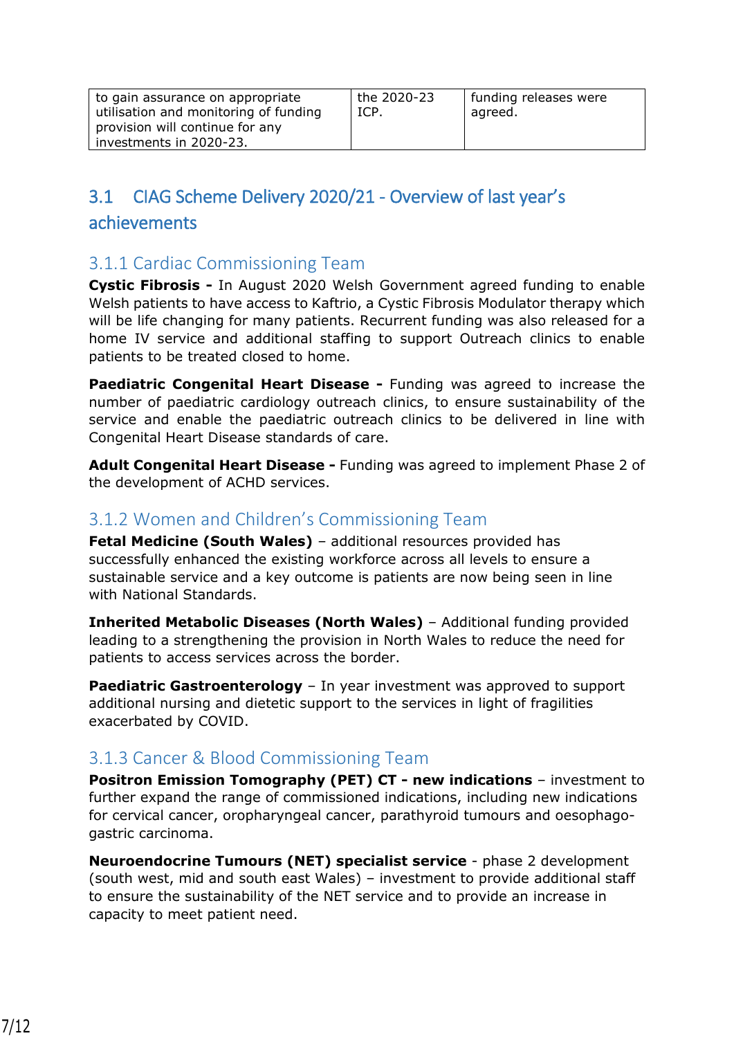| to gain assurance on appropriate<br>utilisation and monitoring of funding<br>provision will continue for any<br>investments in 2020-23. | the 2020-23<br>ICP. | funding releases were<br>agreed. |
|-----------------------------------------------------------------------------------------------------------------------------------------|---------------------|----------------------------------|
|-----------------------------------------------------------------------------------------------------------------------------------------|---------------------|----------------------------------|

# 3.1 CIAG Scheme Delivery 2020/21 - Overview of last year's

#### achievements

#### 3.1.1 Cardiac Commissioning Team

**Cystic Fibrosis -** In August 2020 Welsh Government agreed funding to enable Welsh patients to have access to Kaftrio, a Cystic Fibrosis Modulator therapy which will be life changing for many patients. Recurrent funding was also released for a home IV service and additional staffing to support Outreach clinics to enable patients to be treated closed to home.

**Paediatric Congenital Heart Disease -** Funding was agreed to increase the number of paediatric cardiology outreach clinics, to ensure sustainability of the service and enable the paediatric outreach clinics to be delivered in line with Congenital Heart Disease standards of care.

**Adult Congenital Heart Disease -** Funding was agreed to implement Phase 2 of the development of ACHD services.

#### 3.1.2 Women and Children's Commissioning Team

**Fetal Medicine (South Wales)** – additional resources provided has successfully enhanced the existing workforce across all levels to ensure a sustainable service and a key outcome is patients are now being seen in line with National Standards.

**Inherited Metabolic Diseases (North Wales)** – Additional funding provided leading to a strengthening the provision in North Wales to reduce the need for patients to access services across the border.

**Paediatric Gastroenterology** – In year investment was approved to support additional nursing and dietetic support to the services in light of fragilities exacerbated by COVID.

#### 3.1.3 Cancer & Blood Commissioning Team

**Positron Emission Tomography (PET) CT - new indications** – investment to further expand the range of commissioned indications, including new indications for cervical cancer, oropharyngeal cancer, parathyroid tumours and oesophagogastric carcinoma.

**Neuroendocrine Tumours (NET) specialist service** - phase 2 development (south west, mid and south east Wales) – investment to provide additional staff to ensure the sustainability of the NET service and to provide an increase in capacity to meet patient need.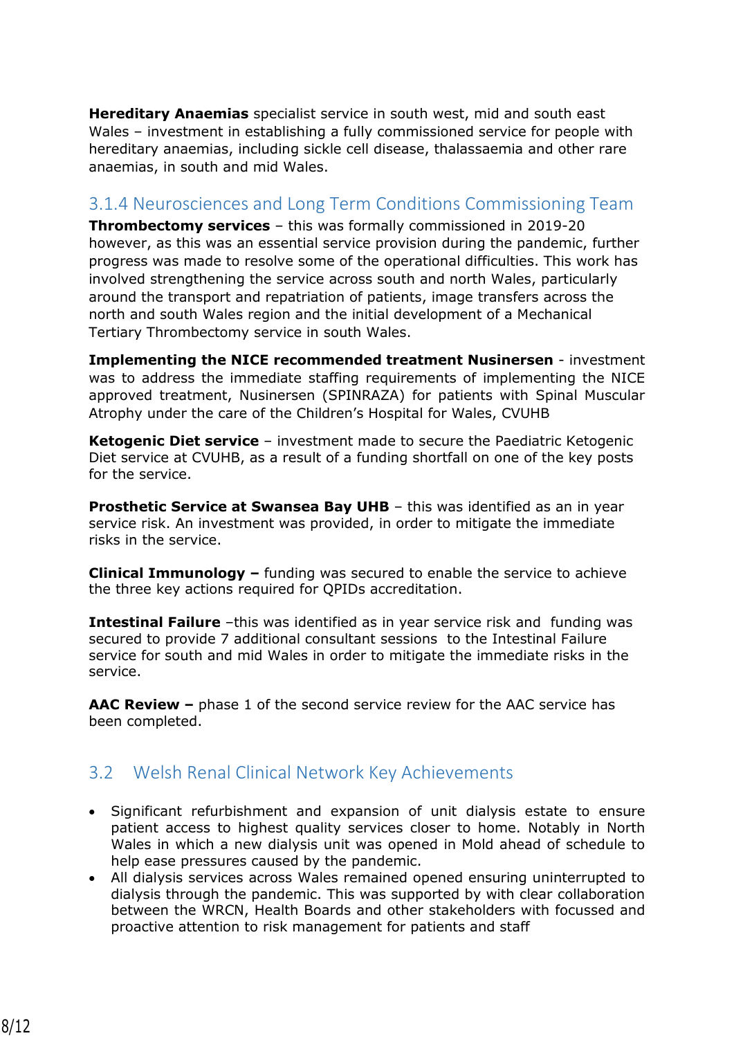**Hereditary Anaemias** specialist service in south west, mid and south east Wales – investment in establishing a fully commissioned service for people with hereditary anaemias, including sickle cell disease, thalassaemia and other rare anaemias, in south and mid Wales.

#### 3.1.4 Neurosciences and Long Term Conditions Commissioning Team

**Thrombectomy services** – this was formally commissioned in 2019-20 however, as this was an essential service provision during the pandemic, further progress was made to resolve some of the operational difficulties. This work has involved strengthening the service across south and north Wales, particularly around the transport and repatriation of patients, image transfers across the north and south Wales region and the initial development of a Mechanical Tertiary Thrombectomy service in south Wales.

**Implementing the NICE recommended treatment Nusinersen** - investment was to address the immediate staffing requirements of implementing the NICE approved treatment, Nusinersen (SPINRAZA) for patients with Spinal Muscular Atrophy under the care of the Children's Hospital for Wales, CVUHB

**Ketogenic Diet service** – investment made to secure the Paediatric Ketogenic Diet service at CVUHB, as a result of a funding shortfall on one of the key posts for the service.

**Prosthetic Service at Swansea Bay UHB** – this was identified as an in year service risk. An investment was provided, in order to mitigate the immediate risks in the service.

**Clinical Immunology –** funding was secured to enable the service to achieve the three key actions required for QPIDs accreditation.

**Intestinal Failure** –this was identified as in year service risk and funding was secured to provide 7 additional consultant sessions to the Intestinal Failure service for south and mid Wales in order to mitigate the immediate risks in the service.

**AAC Review –** phase 1 of the second service review for the AAC service has been completed.

#### 3.2 Welsh Renal Clinical Network Key Achievements

- Significant refurbishment and expansion of unit dialysis estate to ensure patient access to highest quality services closer to home. Notably in North Wales in which a new dialysis unit was opened in Mold ahead of schedule to help ease pressures caused by the pandemic.
- All dialysis services across Wales remained opened ensuring uninterrupted to dialysis through the pandemic. This was supported by with clear collaboration between the WRCN, Health Boards and other stakeholders with focussed and proactive attention to risk management for patients and staff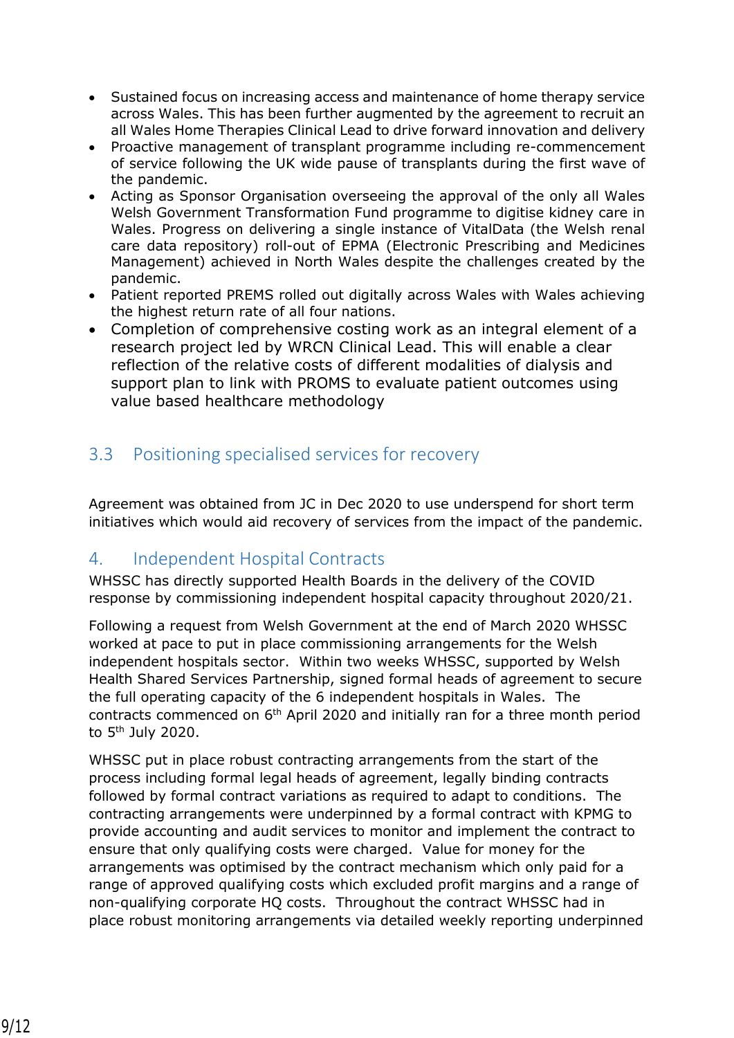- Sustained focus on increasing access and maintenance of home therapy service across Wales. This has been further augmented by the agreement to recruit an all Wales Home Therapies Clinical Lead to drive forward innovation and delivery
- Proactive management of transplant programme including re-commencement of service following the UK wide pause of transplants during the first wave of the pandemic.
- Acting as Sponsor Organisation overseeing the approval of the only all Wales Welsh Government Transformation Fund programme to digitise kidney care in Wales. Progress on delivering a single instance of VitalData (the Welsh renal care data repository) roll-out of EPMA (Electronic Prescribing and Medicines Management) achieved in North Wales despite the challenges created by the pandemic.
- Patient reported PREMS rolled out digitally across Wales with Wales achieving the highest return rate of all four nations.
- Completion of comprehensive costing work as an integral element of a research project led by WRCN Clinical Lead. This will enable a clear reflection of the relative costs of different modalities of dialysis and support plan to link with PROMS to evaluate patient outcomes using value based healthcare methodology

## 3.3 Positioning specialised services for recovery

Agreement was obtained from JC in Dec 2020 to use underspend for short term initiatives which would aid recovery of services from the impact of the pandemic.

#### 4. Independent Hospital Contracts

WHSSC has directly supported Health Boards in the delivery of the COVID response by commissioning independent hospital capacity throughout 2020/21.

Following a request from Welsh Government at the end of March 2020 WHSSC worked at pace to put in place commissioning arrangements for the Welsh independent hospitals sector. Within two weeks WHSSC, supported by Welsh Health Shared Services Partnership, signed formal heads of agreement to secure the full operating capacity of the 6 independent hospitals in Wales. The contracts commenced on 6<sup>th</sup> April 2020 and initially ran for a three month period to 5th July 2020.

WHSSC put in place robust contracting arrangements from the start of the process including formal legal heads of agreement, legally binding contracts followed by formal contract variations as required to adapt to conditions. The contracting arrangements were underpinned by a formal contract with KPMG to provide accounting and audit services to monitor and implement the contract to ensure that only qualifying costs were charged. Value for money for the arrangements was optimised by the contract mechanism which only paid for a range of approved qualifying costs which excluded profit margins and a range of non-qualifying corporate HQ costs. Throughout the contract WHSSC had in place robust monitoring arrangements via detailed weekly reporting underpinned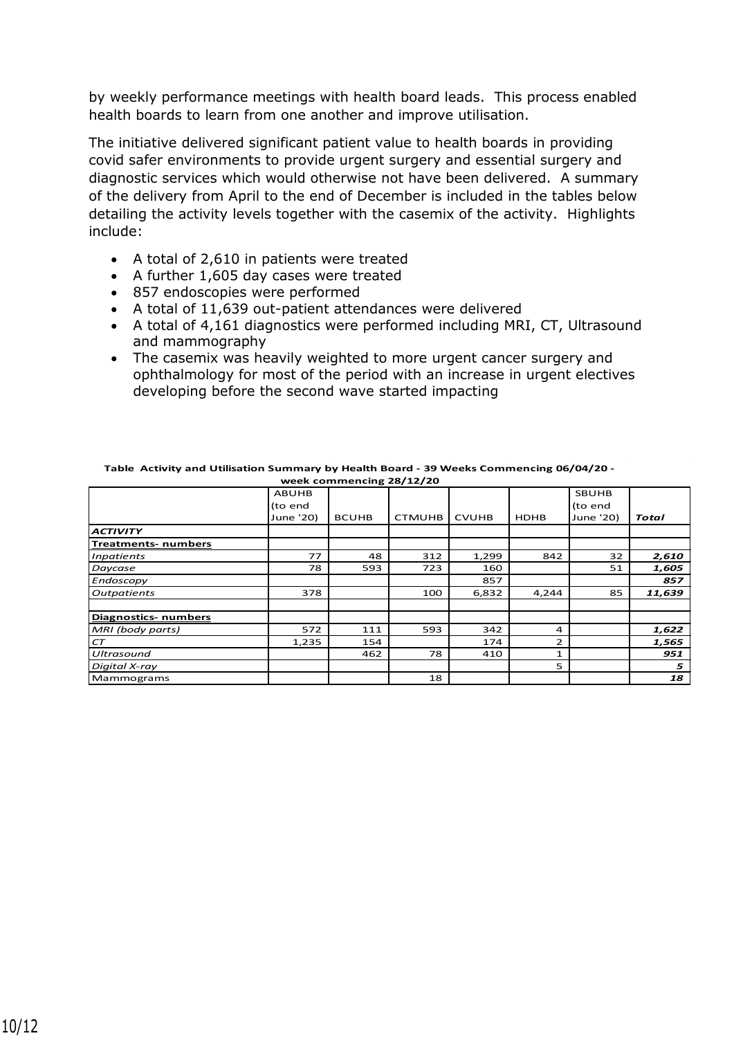by weekly performance meetings with health board leads. This process enabled health boards to learn from one another and improve utilisation.

The initiative delivered significant patient value to health boards in providing covid safer environments to provide urgent surgery and essential surgery and diagnostic services which would otherwise not have been delivered. A summary of the delivery from April to the end of December is included in the tables below detailing the activity levels together with the casemix of the activity. Highlights include:

- A total of 2,610 in patients were treated
- A further 1,605 day cases were treated
- 857 endoscopies were performed
- A total of 11,639 out-patient attendances were delivered
- A total of 4,161 diagnostics were performed including MRI, CT, Ultrasound and mammography
- The casemix was heavily weighted to more urgent cancer surgery and ophthalmology for most of the period with an increase in urgent electives developing before the second wave started impacting

|                             | <b>ABUHB</b> |              |               |              |                | <b>SBUHB</b> |        |
|-----------------------------|--------------|--------------|---------------|--------------|----------------|--------------|--------|
|                             | (to end      |              |               |              |                | (to end      |        |
|                             | June '20)    | <b>BCUHB</b> | <b>CTMUHB</b> | <b>CVUHB</b> | <b>HDHB</b>    | June '20)    | Total  |
| <b>ACTIVITY</b>             |              |              |               |              |                |              |        |
| <b>Treatments- numbers</b>  |              |              |               |              |                |              |        |
| <b>Inpatients</b>           | 77           | 48           | 312           | 1,299        | 842            | 32           | 2,610  |
| Daycase                     | 78           | 593          | 723           | 160          |                | 51           | 1,605  |
| Endoscopy                   |              |              |               | 857          |                |              | 857    |
| <b>Outpatients</b>          | 378          |              | 100           | 6,832        | 4,244          | 85           | 11,639 |
|                             |              |              |               |              |                |              |        |
| <b>Diagnostics- numbers</b> |              |              |               |              |                |              |        |
| MRI (body parts)            | 572          | 111          | 593           | 342          | 4              |              | 1,622  |
| CT                          | 1,235        | 154          |               | 174          | $\overline{2}$ |              | 1,565  |
| <b>Ultrasound</b>           |              | 462          | 78            | 410          | $\mathbf{1}$   |              | 951    |
| Digital X-ray               |              |              |               |              | 5              |              | 5      |
| Mammograms                  |              |              | 18            |              |                |              | 18     |

| Table Activity and Utilisation Summary by Health Board - 39 Weeks Commencing 06/04/20 - |
|-----------------------------------------------------------------------------------------|
| week commencing 28/12/20                                                                |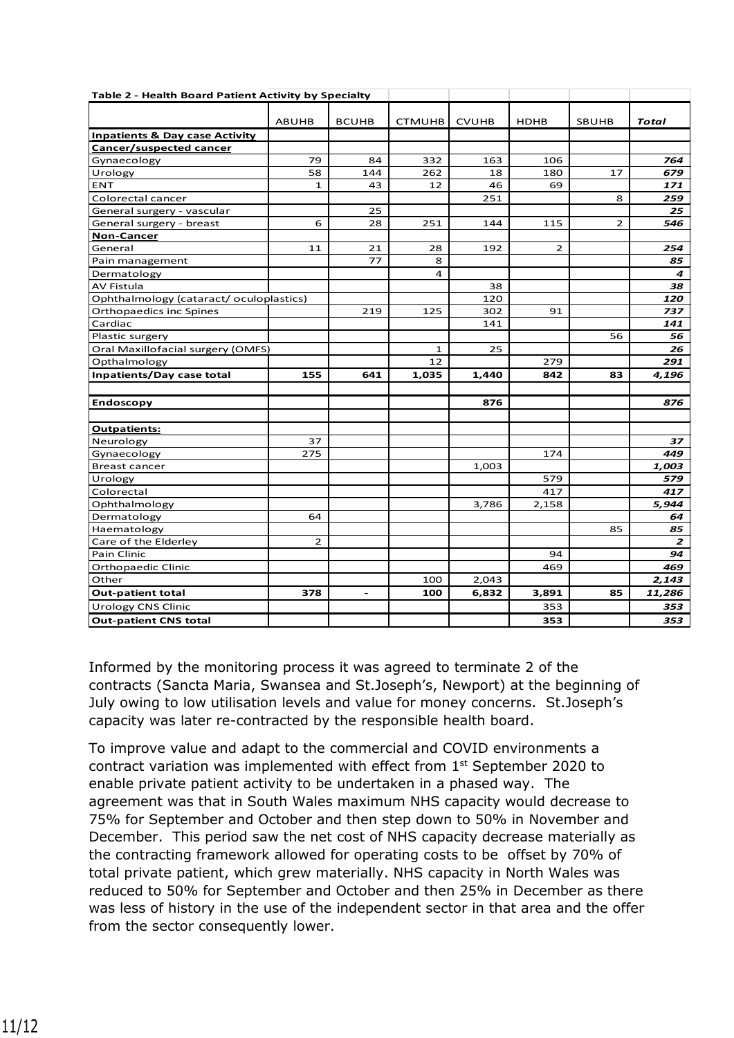| Table 2 - Health Board Patient Activity by Specialty |                |                          |               |              |             |                |                |
|------------------------------------------------------|----------------|--------------------------|---------------|--------------|-------------|----------------|----------------|
|                                                      |                |                          |               |              |             |                |                |
|                                                      | <b>ABUHB</b>   | <b>BCUHB</b>             | <b>CTMUHB</b> | <b>CVUHB</b> | <b>HDHB</b> | <b>SBUHB</b>   | <b>Total</b>   |
| <b>Inpatients &amp; Day case Activity</b>            |                |                          |               |              |             |                |                |
| Cancer/suspected cancer                              |                |                          |               |              |             |                |                |
| Gynaecology                                          | 79             | 84                       | 332           | 163          | 106         |                | 764            |
| Urology                                              | 58             | 144                      | 262           | 18           | 180         | 17             | 679            |
| <b>ENT</b>                                           | 1              | 43                       | 12            | 46           | 69          |                | 171            |
| Colorectal cancer                                    |                |                          |               | 251          |             | 8              | 259            |
| General surgery - vascular                           |                | 25                       |               |              |             |                | 25             |
| General surgery - breast                             | 6              | 28                       | 251           | 144          | 115         | $\overline{2}$ | 546            |
| <b>Non-Cancer</b>                                    |                |                          |               |              |             |                |                |
| General                                              | 11             | 21                       | 28            | 192          | 2           |                | 254            |
| Pain management                                      |                | 77                       | 8             |              |             |                | 85             |
| Dermatology                                          |                |                          | 4             |              |             |                | 4              |
| <b>AV Fistula</b>                                    |                |                          |               | 38           |             |                | 38             |
| Ophthalmology (cataract/oculoplastics)               |                |                          |               | 120          |             |                | 120            |
| Orthopaedics inc Spines                              |                | 219                      | 125           | 302          | 91          |                | 737            |
| Cardiac                                              |                |                          |               | 141          |             |                | 141            |
| Plastic surgery                                      |                |                          |               |              |             | 56             | 56             |
| Oral Maxillofacial surgery (OMFS)                    |                |                          | $\mathbf{1}$  | 25           |             |                | 26             |
| Opthalmology                                         |                |                          | 12            |              | 279         |                | 291            |
| Inpatients/Day case total                            | 155            | 641                      | 1,035         | 1,440        | 842         | 83             | 4,196          |
|                                                      |                |                          |               |              |             |                |                |
| <b>Endoscopy</b>                                     |                |                          |               | 876          |             |                | 876            |
|                                                      |                |                          |               |              |             |                |                |
| <b>Outpatients:</b>                                  |                |                          |               |              |             |                |                |
| Neurology                                            | 37             |                          |               |              |             |                | 37             |
| Gynaecology                                          | 275            |                          |               |              | 174         |                | 449            |
| <b>Breast cancer</b>                                 |                |                          |               | 1,003        |             |                | 1,003          |
| Urology                                              |                |                          |               |              | 579         |                | 579            |
| Colorectal                                           |                |                          |               |              | 417         |                | 417            |
| Ophthalmology                                        |                |                          |               | 3,786        | 2,158       |                | 5,944          |
| Dermatology                                          | 64             |                          |               |              |             |                | 64             |
| Haematology                                          |                |                          |               |              |             | 85             | 85             |
| Care of the Elderley                                 | $\overline{2}$ |                          |               |              |             |                | $\overline{z}$ |
| Pain Clinic                                          |                |                          |               |              | 94          |                | 94             |
| Orthopaedic Clinic                                   |                |                          |               |              | 469         |                | 469            |
| Other                                                |                |                          | 100           | 2,043        |             |                | 2,143          |
| <b>Out-patient total</b>                             | 378            | $\overline{\phantom{a}}$ | 100           | 6,832        | 3,891       | 85             | 11,286         |
| <b>Urology CNS Clinic</b>                            |                |                          |               |              | 353         |                | 353            |
| <b>Out-patient CNS total</b>                         |                |                          |               |              | 353         |                | 353            |

Informed by the monitoring process it was agreed to terminate 2 of the contracts (Sancta Maria, Swansea and St.Joseph's, Newport) at the beginning of July owing to low utilisation levels and value for money concerns. St.Joseph's capacity was later re-contracted by the responsible health board.

To improve value and adapt to the commercial and COVID environments a contract variation was implemented with effect from 1st September 2020 to enable private patient activity to be undertaken in a phased way. The agreement was that in South Wales maximum NHS capacity would decrease to 75% for September and October and then step down to 50% in November and December. This period saw the net cost of NHS capacity decrease materially as the contracting framework allowed for operating costs to be offset by 70% of total private patient, which grew materially. NHS capacity in North Wales was reduced to 50% for September and October and then 25% in December as there was less of history in the use of the independent sector in that area and the offer from the sector consequently lower.